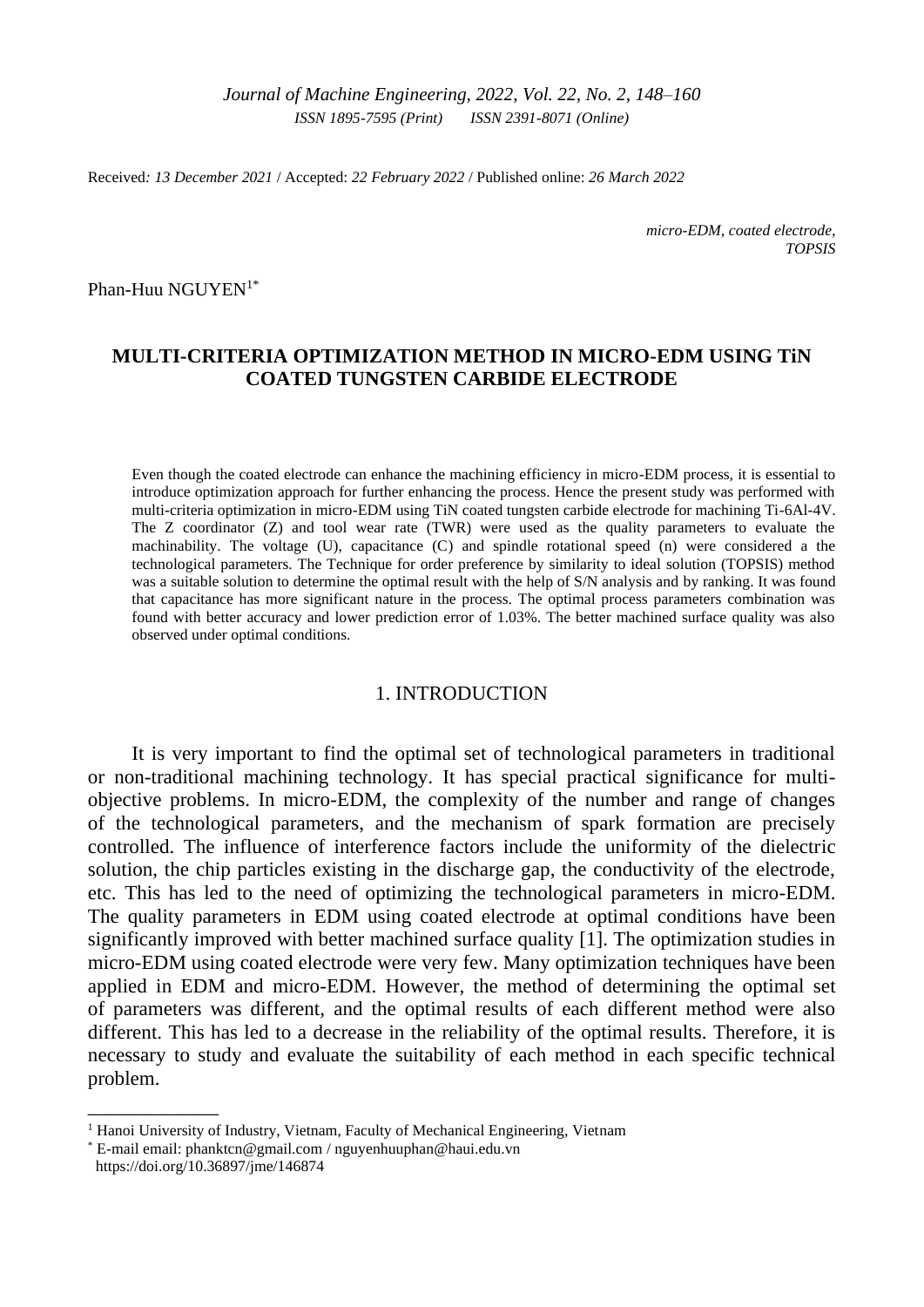*Journal of Machine Engineering, 2022*, *Vol. 22, No. 2, 148–160 ISSN 1895-7595 (Print) ISSN 2391-8071 (Online)*

Received*: 13 December 2021* / Accepted: *22 February 2022* / Published online: *26 March 2022*

*micro-EDM, coated electrode, TOPSIS*

Phan-Huu NGUYEN<sup>1\*</sup>

# **MULTI-CRITERIA OPTIMIZATION METHOD IN MICRO-EDM USING TiN COATED TUNGSTEN CARBIDE ELECTRODE**

Even though the coated electrode can enhance the machining efficiency in micro-EDM process, it is essential to introduce optimization approach for further enhancing the process. Hence the present study was performed with multi-criteria optimization in micro-EDM using TiN coated tungsten carbide electrode for machining Ti-6Al-4V. The Z coordinator (Z) and tool wear rate (TWR) were used as the quality parameters to evaluate the machinability. The voltage (U), capacitance (C) and spindle rotational speed (n) were considered a the technological parameters. The Technique for order preference by similarity to ideal solution (TOPSIS) method was a suitable solution to determine the optimal result with the help of S/N analysis and by ranking. It was found that capacitance has more significant nature in the process. The optimal process parameters combination was found with better accuracy and lower prediction error of 1.03%. The better machined surface quality was also observed under optimal conditions.

### 1. INTRODUCTION

It is very important to find the optimal set of technological parameters in traditional or non-traditional machining technology. It has special practical significance for multiobjective problems. In micro-EDM, the complexity of the number and range of changes of the technological parameters, and the mechanism of spark formation are precisely controlled. The influence of interference factors include the uniformity of the dielectric solution, the chip particles existing in the discharge gap, the conductivity of the electrode, etc. This has led to the need of optimizing the technological parameters in micro-EDM. The quality parameters in EDM using coated electrode at optimal conditions have been significantly improved with better machined surface quality [1]. The optimization studies in micro-EDM using coated electrode were very few. Many optimization techniques have been applied in EDM and micro-EDM. However, the method of determining the optimal set of parameters was different, and the optimal results of each different method were also different. This has led to a decrease in the reliability of the optimal results. Therefore, it is necessary to study and evaluate the suitability of each method in each specific technical problem.

\_\_\_\_\_\_\_\_\_\_\_\_\_

<sup>&</sup>lt;sup>1</sup> Hanoi University of Industry, Vietnam, Faculty of Mechanical Engineering, Vietnam

<sup>\*</sup> E-mail email[: phanktcn@gmail.com](mailto:phanktcn@gmail.com) / nguyenhuuphan@haui.edu.vn  [https://doi.org/1](https://doi.org/10.36897/jme/142394)0.36897/jme/146874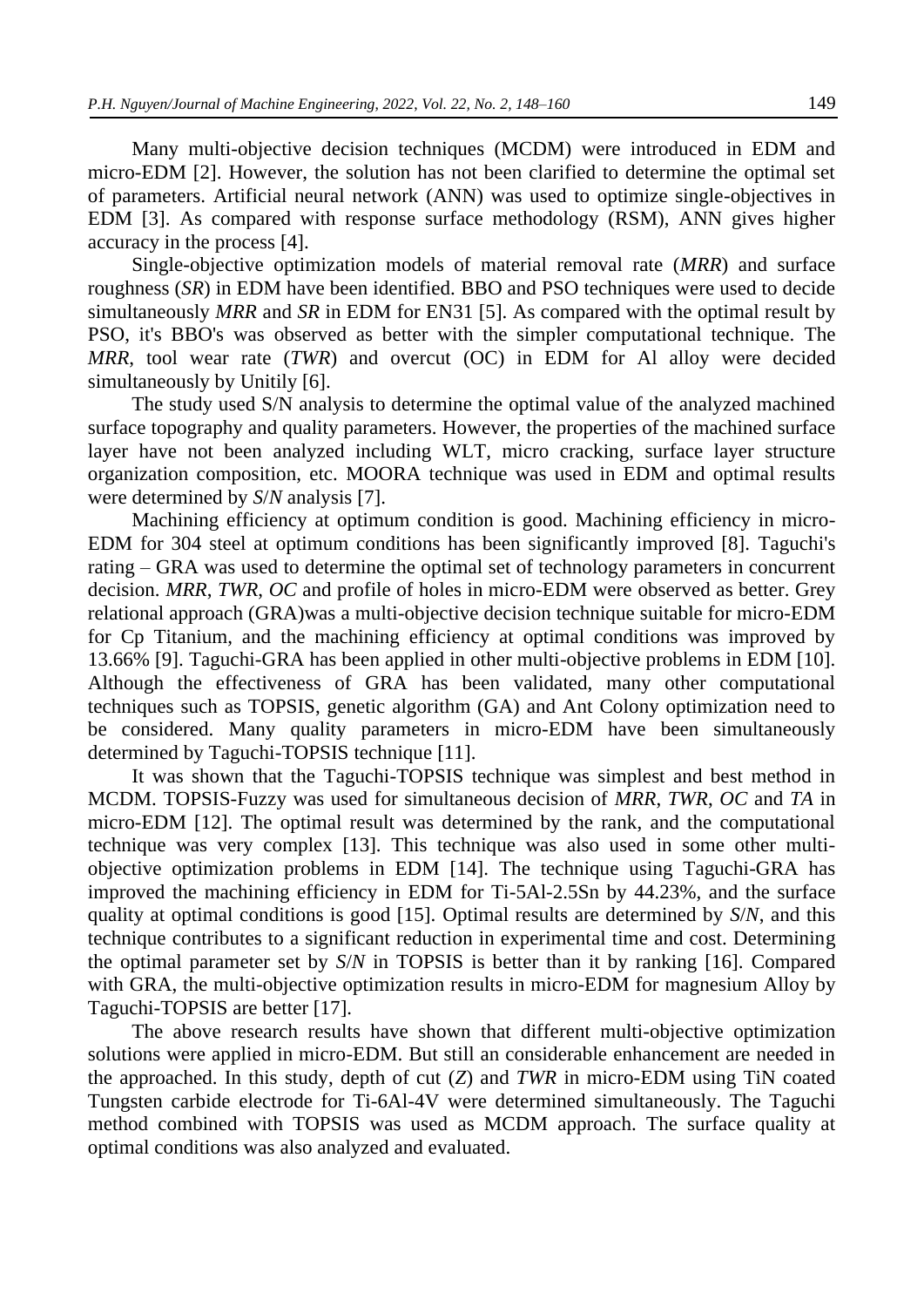Many multi-objective decision techniques (MCDM) were introduced in EDM and micro-EDM [2]. However, the solution has not been clarified to determine the optimal set of parameters. Artificial neural network (ANN) was used to optimize single-objectives in EDM [3]. As compared with response surface methodology (RSM), ANN gives higher accuracy in the process [4].

Single-objective optimization models of material removal rate (*MRR*) and surface roughness (*SR*) in EDM have been identified. BBO and PSO techniques were used to decide simultaneously *MRR* and *SR* in EDM for EN31 [5]. As compared with the optimal result by PSO, it's BBO's was observed as better with the simpler computational technique. The *MRR*, tool wear rate (*TWR*) and overcut (OC) in EDM for Al alloy were decided simultaneously by Unitily [6].

The study used S/N analysis to determine the optimal value of the analyzed machined surface topography and quality parameters. However, the properties of the machined surface layer have not been analyzed including WLT, micro cracking, surface layer structure organization composition, etc. MOORA technique was used in EDM and optimal results were determined by *S*/*N* analysis [7].

Machining efficiency at optimum condition is good. Machining efficiency in micro-EDM for 304 steel at optimum conditions has been significantly improved [8]. Taguchi's rating – GRA was used to determine the optimal set of technology parameters in concurrent decision. *MRR*, *TWR*, *OC* and profile of holes in micro-EDM were observed as better. Grey relational approach (GRA)was a multi-objective decision technique suitable for micro-EDM for Cp Titanium, and the machining efficiency at optimal conditions was improved by 13.66% [9]. Taguchi-GRA has been applied in other multi-objective problems in EDM [10]. Although the effectiveness of GRA has been validated, many other computational techniques such as TOPSIS, genetic algorithm (GA) and Ant Colony optimization need to be considered. Many quality parameters in micro-EDM have been simultaneously determined by Taguchi-TOPSIS technique [11].

It was shown that the Taguchi-TOPSIS technique was simplest and best method in MCDM. TOPSIS-Fuzzy was used for simultaneous decision of *MRR*, *TWR*, *OC* and *TA* in micro-EDM [12]. The optimal result was determined by the rank, and the computational technique was very complex [13]. This technique was also used in some other multiobjective optimization problems in EDM [14]. The technique using Taguchi-GRA has improved the machining efficiency in EDM for Ti-5Al-2.5Sn by 44.23%, and the surface quality at optimal conditions is good [15]. Optimal results are determined by *S*/*N*, and this technique contributes to a significant reduction in experimental time and cost. Determining the optimal parameter set by *S*/*N* in TOPSIS is better than it by ranking [16]. Compared with GRA, the multi-objective optimization results in micro-EDM for magnesium Alloy by Taguchi-TOPSIS are better [17].

The above research results have shown that different multi-objective optimization solutions were applied in micro-EDM. But still an considerable enhancement are needed in the approached. In this study, depth of cut (*Z*) and *TWR* in micro-EDM using TiN coated Tungsten carbide electrode for Ti-6Al-4V were determined simultaneously. The Taguchi method combined with TOPSIS was used as MCDM approach. The surface quality at optimal conditions was also analyzed and evaluated.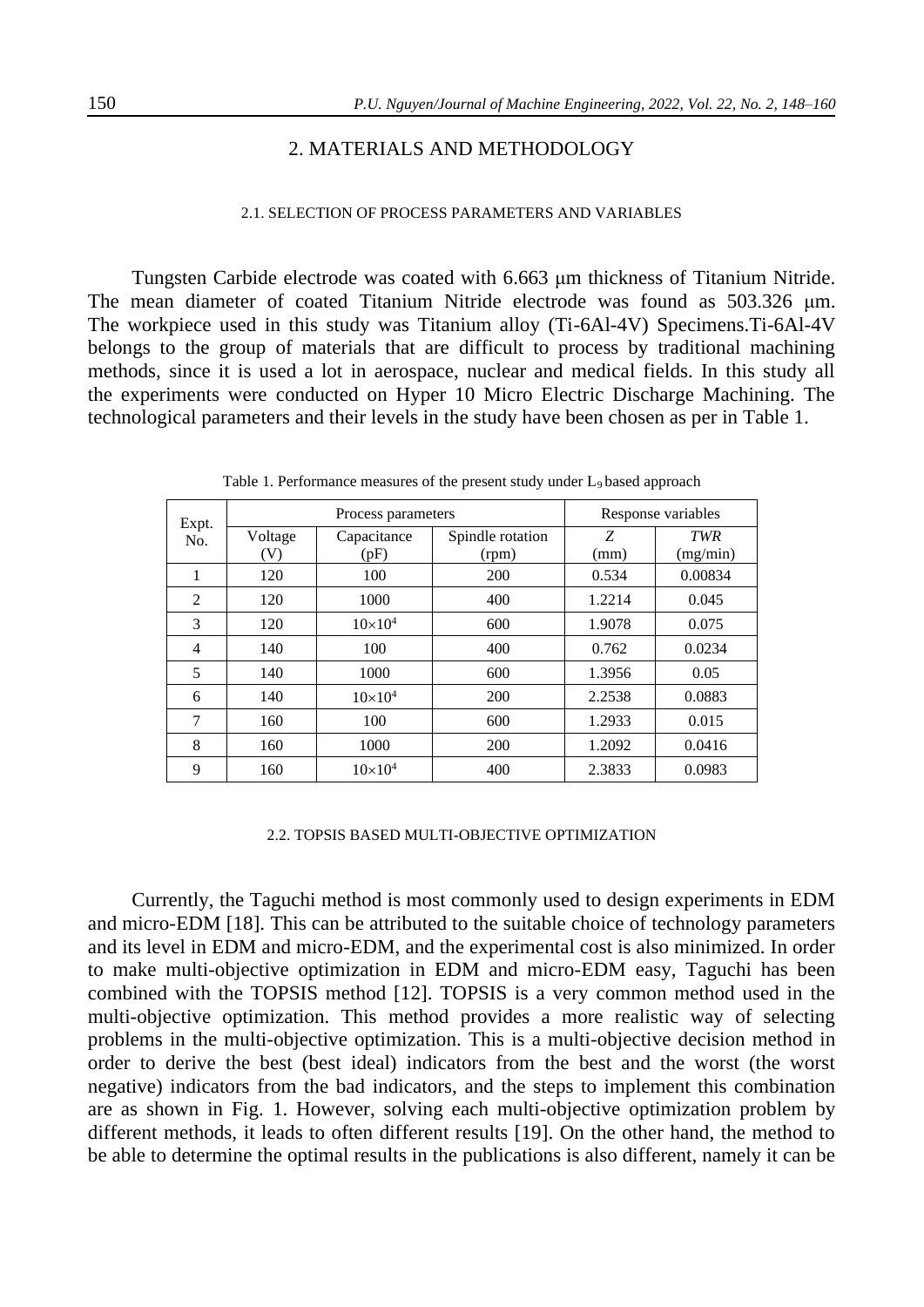# 2. MATERIALS AND METHODOLOGY

#### 2.1. SELECTION OF PROCESS PARAMETERS AND VARIABLES

Tungsten Carbide electrode was coated with 6.663 μm thickness of Titanium Nitride. The mean diameter of coated Titanium Nitride electrode was found as 503.326 μm. The workpiece used in this study was Titanium alloy (Ti-6Al-4V) Specimens.Ti-6Al-4V belongs to the group of materials that are difficult to process by traditional machining methods, since it is used a lot in aerospace, nuclear and medical fields. In this study all the experiments were conducted on Hyper 10 Micro Electric Discharge Machining. The technological parameters and their levels in the study have been chosen as per in Table 1.

| Expt.          |         | Process parameters | Response variables |        |            |
|----------------|---------|--------------------|--------------------|--------|------------|
| No.            | Voltage | Capacitance        | Spindle rotation   | Z      | <b>TWR</b> |
|                | (V)     | (pF)               | (rpm)              | (mm)   | (mg/min)   |
| 1              | 120     | 100                | 200                | 0.534  | 0.00834    |
| $\mathfrak{D}$ | 120     | 1000               | 400                | 1.2214 | 0.045      |
| 3              | 120     | $10\times10^{4}$   | 600                | 1.9078 | 0.075      |
| 4              | 140     | 100                | 400                | 0.762  | 0.0234     |
| 5              | 140     | 1000               | 600                | 1.3956 | 0.05       |
| 6              | 140     | $10\times10^{4}$   | 200                | 2.2538 | 0.0883     |
| 7              | 160     | 100                | 600                | 1.2933 | 0.015      |
| 8              | 160     | 1000               | 200                | 1.2092 | 0.0416     |
| 9              | 160     | $10\times10^{4}$   | 400                | 2.3833 | 0.0983     |

Table 1. Performance measures of the present study under L<sub>9</sub> based approach

#### 2.2. TOPSIS BASED MULTI-OBJECTIVE OPTIMIZATION

Currently, the Taguchi method is most commonly used to design experiments in EDM and micro-EDM [18]. This can be attributed to the suitable choice of technology parameters and its level in EDM and micro-EDM, and the experimental cost is also minimized. In order to make multi-objective optimization in EDM and micro-EDM easy, Taguchi has been combined with the TOPSIS method [12]. TOPSIS is a very common method used in the multi-objective optimization. This method provides a more realistic way of selecting problems in the multi-objective optimization. This is a multi-objective decision method in order to derive the best (best ideal) indicators from the best and the worst (the worst negative) indicators from the bad indicators, and the steps to implement this combination are as shown in Fig. 1. However, solving each multi-objective optimization problem by different methods, it leads to often different results [19]. On the other hand, the method to be able to determine the optimal results in the publications is also different, namely it can be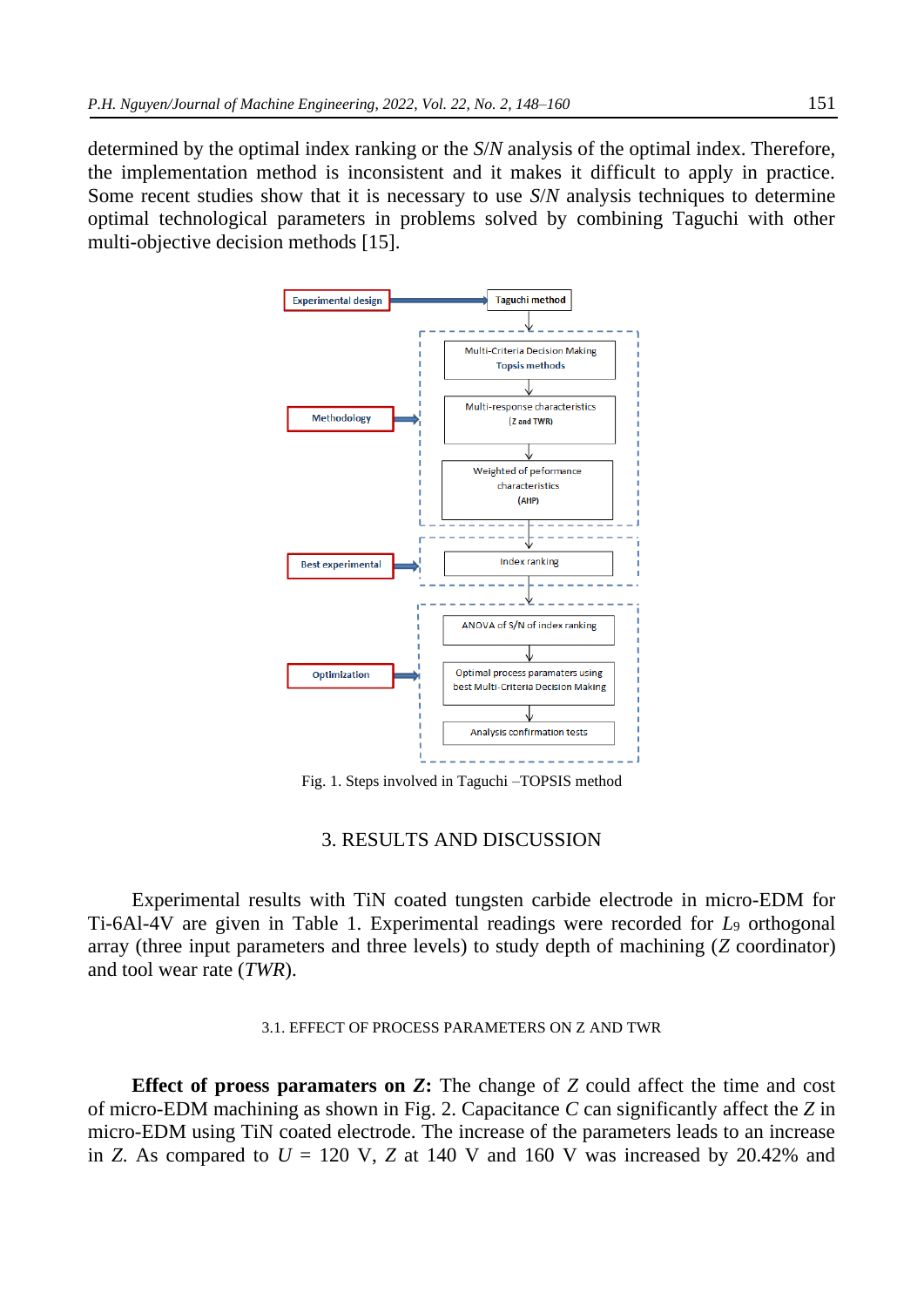determined by the optimal index ranking or the *S*/*N* analysis of the optimal index. Therefore, the implementation method is inconsistent and it makes it difficult to apply in practice. Some recent studies show that it is necessary to use *S*/*N* analysis techniques to determine optimal technological parameters in problems solved by combining Taguchi with other multi-objective decision methods [15].



Fig. 1. Steps involved in Taguchi –TOPSIS method

## 3. RESULTS AND DISCUSSION

Experimental results with TiN coated tungsten carbide electrode in micro-EDM for Ti-6Al-4V are given in Table 1. Experimental readings were recorded for *L*<sup>9</sup> orthogonal array (three input parameters and three levels) to study depth of machining (*Z* coordinator) and tool wear rate (*TWR*).

#### 3.1. EFFECT OF PROCESS PARAMETERS ON Z AND TWR

**Effect of proess paramaters on** *Z***:** The change of *Z* could affect the time and cost of micro-EDM machining as shown in Fig. 2. Capacitance *C* can significantly affect the *Z* in micro-EDM using TiN coated electrode. The increase of the parameters leads to an increase in *Z*. As compared to  $U = 120$  V, *Z* at 140 V and 160 V was increased by 20.42% and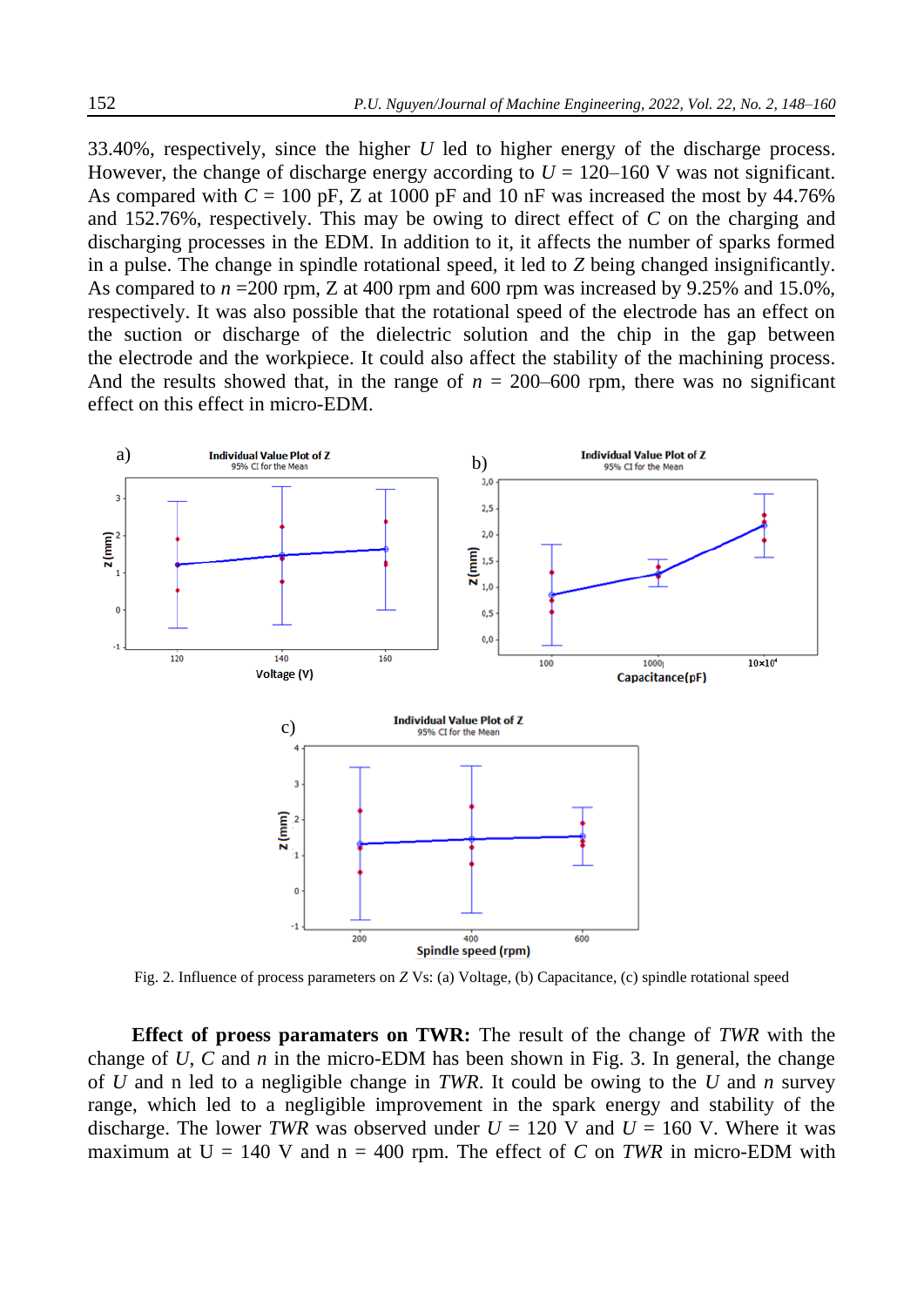33.40%, respectively, since the higher *U* led to higher energy of the discharge process. However, the change of discharge energy according to  $U = 120-160$  V was not significant. As compared with  $C = 100$  pF, Z at 1000 pF and 10 nF was increased the most by 44.76% and 152.76%, respectively. This may be owing to direct effect of *C* on the charging and discharging processes in the EDM. In addition to it, it affects the number of sparks formed in a pulse. The change in spindle rotational speed, it led to *Z* being changed insignificantly. As compared to  $n = 200$  rpm, Z at 400 rpm and 600 rpm was increased by 9.25% and 15.0%, respectively. It was also possible that the rotational speed of the electrode has an effect on the suction or discharge of the dielectric solution and the chip in the gap between the electrode and the workpiece. It could also affect the stability of the machining process. And the results showed that, in the range of  $n = 200-600$  rpm, there was no significant effect on this effect in micro-EDM.



Fig. 2. Influence of process parameters on *Z* Vs: (a) Voltage, (b) Capacitance, (c) spindle rotational speed

**Effect of proess paramaters on TWR:** The result of the change of *TWR* with the change of *U*, *C* and *n* in the micro-EDM has been shown in Fig. 3. In general, the change of *U* and n led to a negligible change in *TWR*. It could be owing to the *U* and *n* survey range, which led to a negligible improvement in the spark energy and stability of the discharge. The lower *TWR* was observed under  $U = 120$  V and  $U = 160$  V. Where it was maximum at  $U = 140$  V and  $n = 400$  rpm. The effect of *C* on *TWR* in micro-EDM with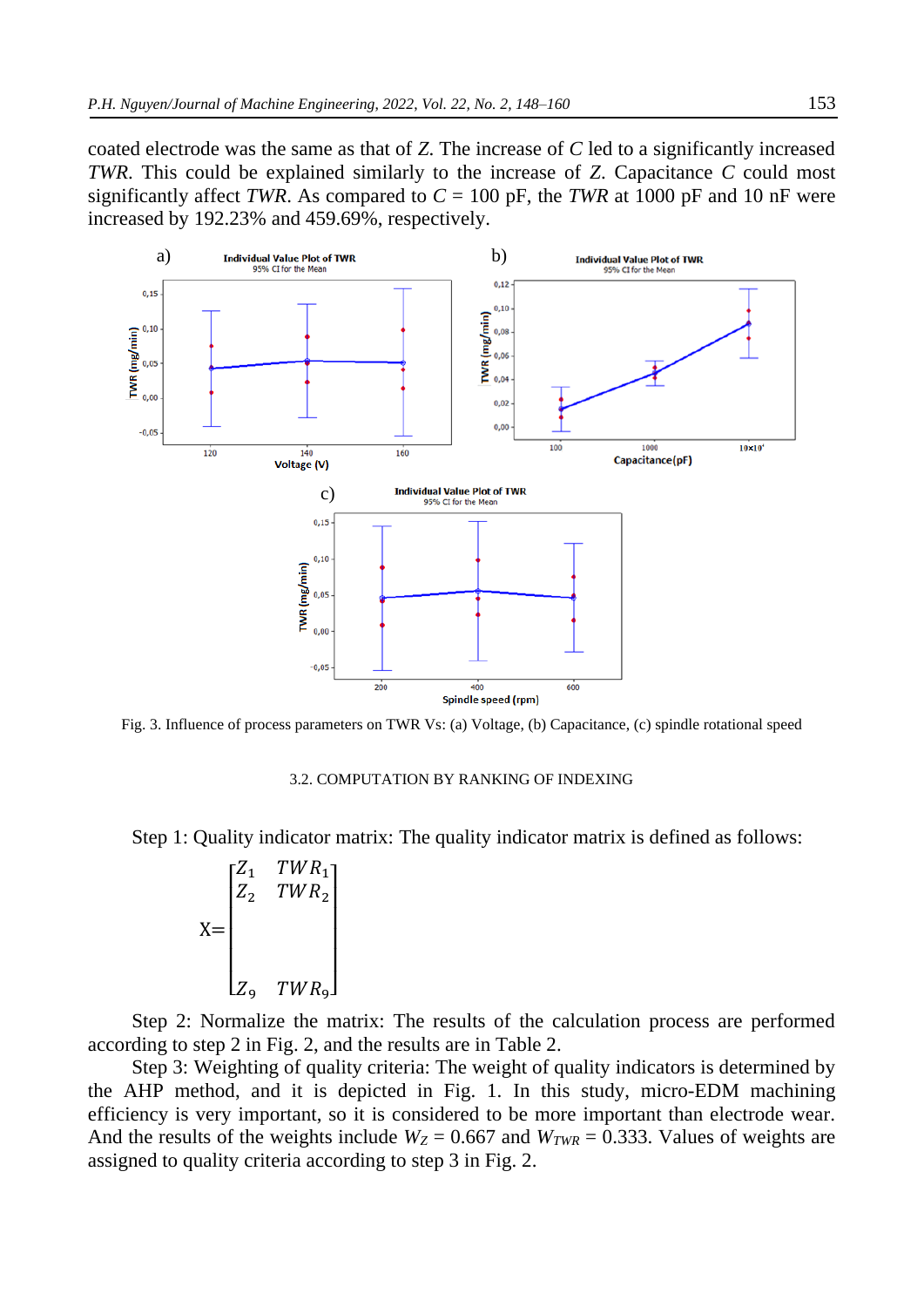coated electrode was the same as that of *Z*. The increase of *C* led to a significantly increased *TWR*. This could be explained similarly to the increase of *Z*. Capacitance *C* could most significantly affect *TWR*. As compared to  $C = 100$  pF, the *TWR* at 1000 pF and 10 nF were increased by 192.23% and 459.69%, respectively.



Fig. 3. Influence of process parameters on TWR Vs: (a) Voltage, (b) Capacitance, (c) spindle rotational speed

#### 3.2. COMPUTATION BY RANKING OF INDEXING

Step 1: Quality indicator matrix: The quality indicator matrix is defined as follows:

 $X=$  $\lfloor$ I I I I  $\begin{bmatrix} Z_1 & TWR_1 \\ Z & TWR \end{bmatrix}$  $Z_2$  TWR<sub>2</sub>  $Z_9$   $TWR_9$ ] I I  $\overline{\phantom{a}}$  $\overline{\phantom{a}}$ I

Step 2: Normalize the matrix: The results of the calculation process are performed according to step 2 in Fig. 2, and the results are in Table 2.

Step 3: Weighting of quality criteria: The weight of quality indicators is determined by the AHP method, and it is depicted in Fig. 1. In this study, micro-EDM machining efficiency is very important, so it is considered to be more important than electrode wear. And the results of the weights include  $W_Z$  = 0.667 and  $W_{TWR}$  = 0.333. Values of weights are assigned to quality criteria according to step 3 in Fig. 2.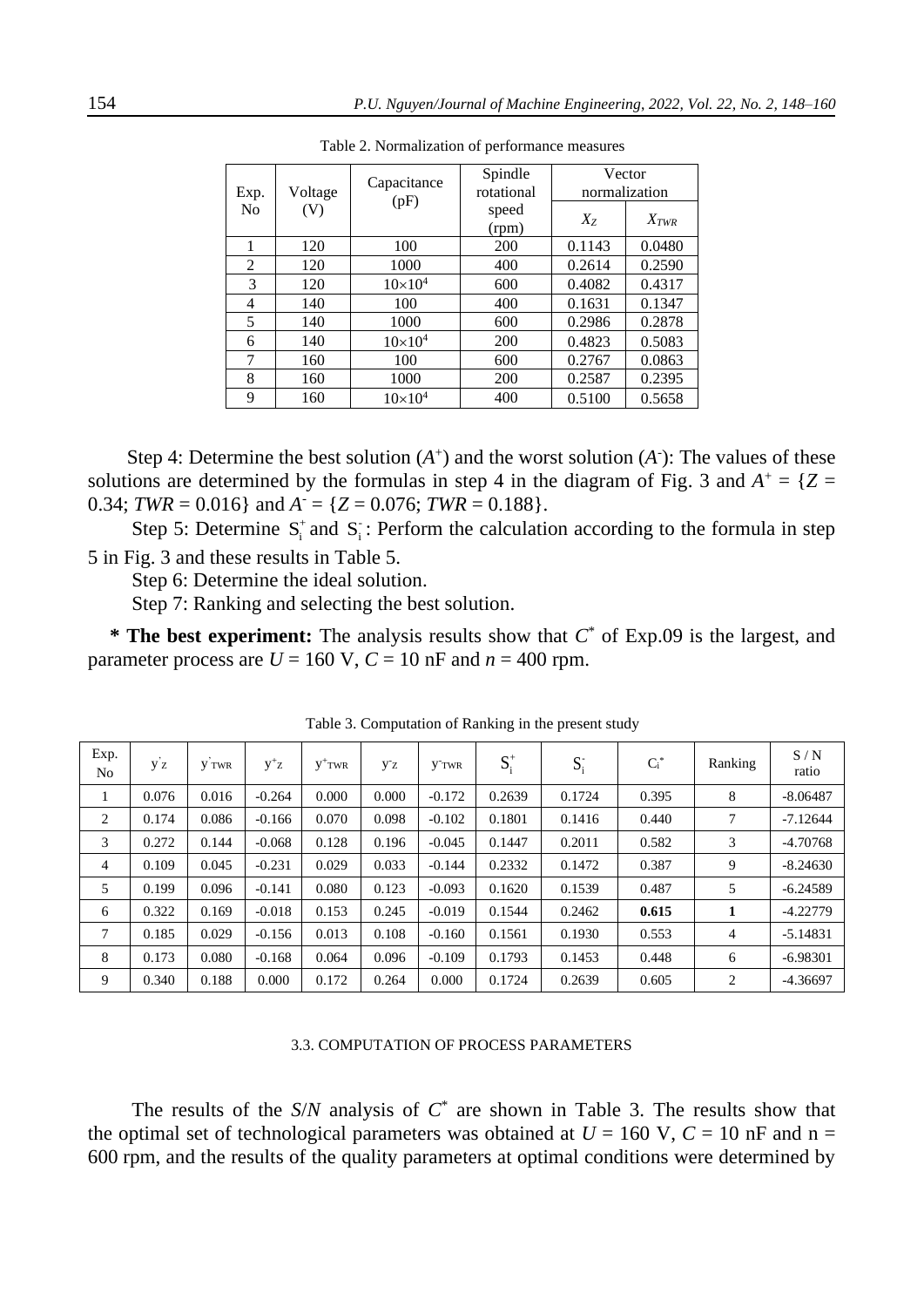| Exp.           | Voltage | Capacitance<br>(pF) | Spindle<br>rotational | Vector<br>normalization |           |  |
|----------------|---------|---------------------|-----------------------|-------------------------|-----------|--|
| N <sub>0</sub> | (V)     |                     | speed<br>(rpm)        | $X_Z$                   | $X_{TWR}$ |  |
| 1              | 120     | 100                 | 200                   | 0.1143                  | 0.0480    |  |
| $\overline{2}$ | 120     | 1000                | 400                   | 0.2614                  | 0.2590    |  |
| 3              | 120     | $10\times10^{4}$    | 600                   | 0.4082                  | 0.4317    |  |
| 4              | 140     | 100                 | 400                   | 0.1631                  | 0.1347    |  |
| 5              | 140     | 1000                | 600                   | 0.2986                  | 0.2878    |  |
| 6              | 140     | $10\times10^{4}$    | 200                   | 0.4823                  | 0.5083    |  |
| 7              | 160     | 100                 | 600                   | 0.2767                  | 0.0863    |  |
| 8              | 160     | 1000                | 200                   | 0.2587                  | 0.2395    |  |
| 9              | 160     | $10\times10^{4}$    | 400                   | 0.5100                  | 0.5658    |  |

Table 2. Normalization of performance measures

Step 4: Determine the best solution  $(A^+)$  and the worst solution  $(A^-)$ : The values of these solutions are determined by the formulas in step 4 in the diagram of Fig. 3 and  $A^+ = \{Z =$ 0.34; *TWR* = 0.016} and  $A = \{Z = 0.076$ ; *TWR* = 0.188}.

Step 5: Determine  $S_i^+$  and  $S_i^-$ : Perform the calculation according to the formula in step 5 in Fig. 3 and these results in Table 5.

Step 6: Determine the ideal solution.

Step 7: Ranking and selecting the best solution.

**\* The best experiment:** The analysis results show that *C* \* of Exp.09 is the largest, and parameter process are  $U = 160$  V,  $C = 10$  nF and  $n = 400$  rpm.

| Exp.<br>N <sub>o</sub> | y z   | V TWR | $y^+z$   | $V^+$ TWR | У <sup>-</sup> z | <b>V</b> TWR | $S_i^+$ | $S_i$  | $C_i^*$ | Ranking | S/N<br>ratio |
|------------------------|-------|-------|----------|-----------|------------------|--------------|---------|--------|---------|---------|--------------|
|                        | 0.076 | 0.016 | $-0.264$ | 0.000     | 0.000            | $-0.172$     | 0.2639  | 0.1724 | 0.395   | 8       | $-8.06487$   |
| 2                      | 0.174 | 0.086 | $-0.166$ | 0.070     | 0.098            | $-0.102$     | 0.1801  | 0.1416 | 0.440   | 7       | $-7.12644$   |
| 3                      | 0.272 | 0.144 | $-0.068$ | 0.128     | 0.196            | $-0.045$     | 0.1447  | 0.2011 | 0.582   | 3       | $-4.70768$   |
| 4                      | 0.109 | 0.045 | $-0.231$ | 0.029     | 0.033            | $-0.144$     | 0.2332  | 0.1472 | 0.387   | 9       | $-8.24630$   |
| 5                      | 0.199 | 0.096 | $-0.141$ | 0.080     | 0.123            | $-0.093$     | 0.1620  | 0.1539 | 0.487   | 5       | $-6.24589$   |
| 6                      | 0.322 | 0.169 | $-0.018$ | 0.153     | 0.245            | $-0.019$     | 0.1544  | 0.2462 | 0.615   | 1       | $-4.22779$   |
| 7                      | 0.185 | 0.029 | $-0.156$ | 0.013     | 0.108            | $-0.160$     | 0.1561  | 0.1930 | 0.553   | 4       | $-5.14831$   |
| 8                      | 0.173 | 0.080 | $-0.168$ | 0.064     | 0.096            | $-0.109$     | 0.1793  | 0.1453 | 0.448   | 6       | $-6.98301$   |
| 9                      | 0.340 | 0.188 | 0.000    | 0.172     | 0.264            | 0.000        | 0.1724  | 0.2639 | 0.605   | 2       | $-4.36697$   |

Table 3. Computation of Ranking in the present study

### 3.3. COMPUTATION OF PROCESS PARAMETERS

The results of the  $S/N$  analysis of  $C^*$  are shown in Table 3. The results show that the optimal set of technological parameters was obtained at  $U = 160$  V,  $C = 10$  nF and n = 600 rpm, and the results of the quality parameters at optimal conditions were determined by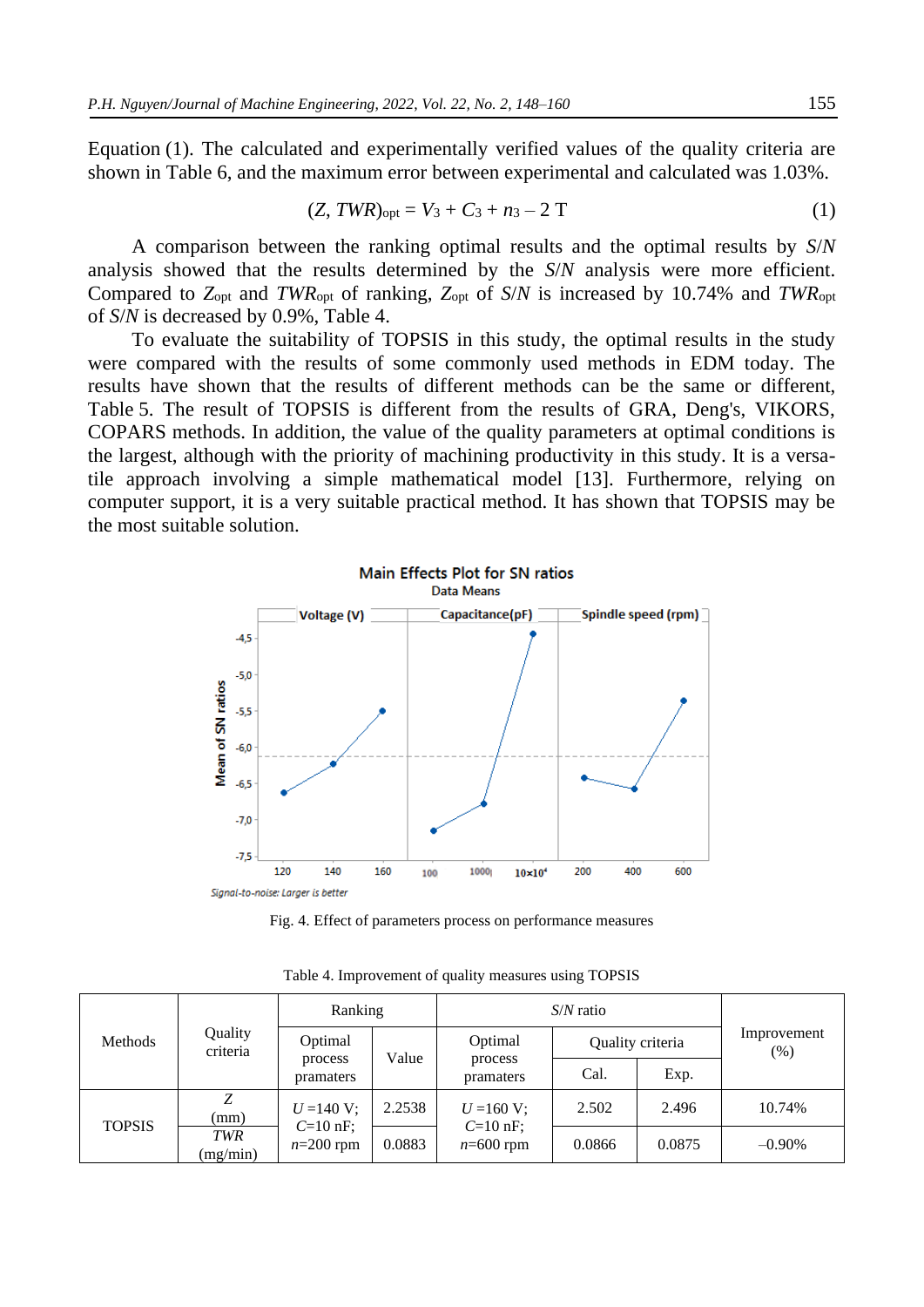Equation (1). The calculated and experimentally verified values of the quality criteria are shown in Table 6, and the maximum error between experimental and calculated was 1.03%.

$$
(Z, TWR)_{\text{opt}} = V_3 + C_3 + n_3 - 2T \tag{1}
$$

A comparison between the ranking optimal results and the optimal results by *S*/*N* analysis showed that the results determined by the *S*/*N* analysis were more efficient. Compared to *Z*opt and *TWR*opt of ranking, *Z*opt of *S*/*N* is increased by 10.74% and *TWR*opt of *S*/*N* is decreased by 0.9%, Table 4.

To evaluate the suitability of TOPSIS in this study, the optimal results in the study were compared with the results of some commonly used methods in EDM today. The results have shown that the results of different methods can be the same or different, Table 5. The result of TOPSIS is different from the results of GRA, Deng's, VIKORS, COPARS methods. In addition, the value of the quality parameters at optimal conditions is the largest, although with the priority of machining productivity in this study. It is a versatile approach involving a simple mathematical model [13]. Furthermore, relying on computer support, it is a very suitable practical method. It has shown that TOPSIS may be the most suitable solution.



Fig. 4. Effect of parameters process on performance measures

|               | Quality<br>criteria    | Ranking                   |                  | $S/N$ ratio                               |                  |        |                     |
|---------------|------------------------|---------------------------|------------------|-------------------------------------------|------------------|--------|---------------------|
| Methods       |                        | Optimal                   |                  | Optimal                                   | Quality criteria |        | Improvement<br>(% ) |
|               |                        | process<br>pramaters      | Value            | process<br>pramaters                      | Cal.             | Exp.   |                     |
| <b>TOPSIS</b> | Ζ<br>(mm)              | $U = 140$ V;              | 2.2538<br>0.0883 | $U = 160$ V;<br>$C=10$ nF;<br>$n=600$ rpm | 2.502            | 2.496  | 10.74%              |
|               | <b>TWR</b><br>(mg/min) | $C=10$ nF;<br>$n=200$ rpm |                  |                                           | 0.0866           | 0.0875 | $-0.90\%$           |

Table 4. Improvement of quality measures using TOPSIS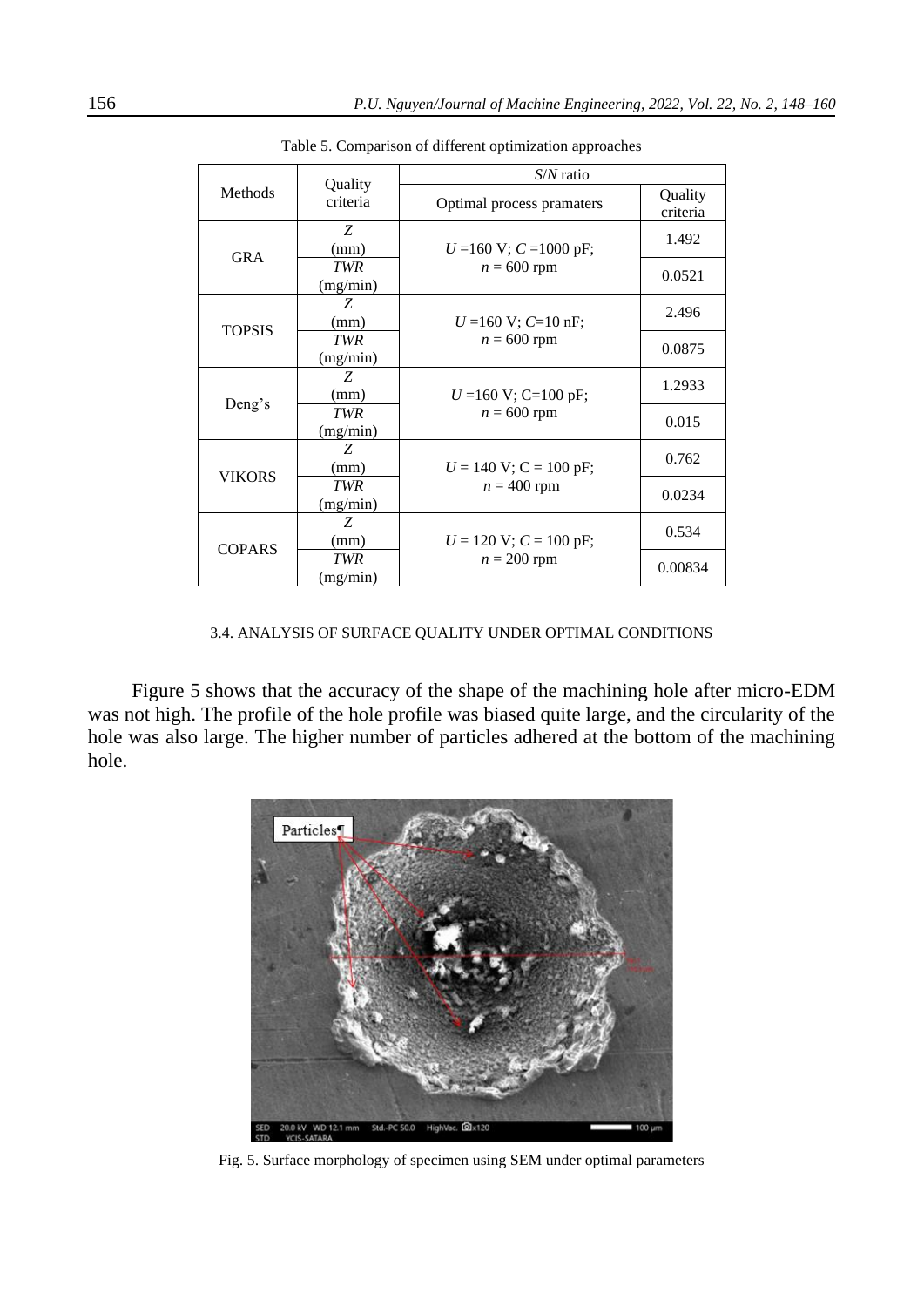|               |                        | $S/N$ ratio                 |                     |  |  |  |
|---------------|------------------------|-----------------------------|---------------------|--|--|--|
| Methods       | Quality<br>criteria    | Optimal process pramaters   | Quality<br>criteria |  |  |  |
|               | Z<br>(mm)              | $U = 160$ V; $C = 1000$ pF; | 1.492               |  |  |  |
| <b>GRA</b>    | <b>TWR</b><br>(mg/min) | $n = 600$ rpm               | 0.0521              |  |  |  |
| <b>TOPSIS</b> | Z<br>(mm)              | $U = 160$ V; $C = 10$ nF;   | 2.496               |  |  |  |
|               | <b>TWR</b><br>(mg/min) | $n = 600$ rpm               | 0.0875              |  |  |  |
| Deng's        | Z<br>(mm)              | $U = 160$ V; C=100 pF;      | 1.2933              |  |  |  |
|               | <b>TWR</b><br>(mg/min) | $n = 600$ rpm               | 0.015               |  |  |  |
| <b>VIKORS</b> | Z<br>(mm)              | $U = 140$ V; C = 100 pF;    | 0.762               |  |  |  |
|               | <b>TWR</b><br>(mg/min) | $n = 400$ rpm               | 0.0234              |  |  |  |
| <b>COPARS</b> | Z<br>(mm)              | $U = 120$ V; $C = 100$ pF;  | 0.534               |  |  |  |
|               | <b>TWR</b><br>(mg/min) | $n = 200$ rpm               | 0.00834             |  |  |  |

Table 5. Comparison of different optimization approaches

### 3.4. ANALYSIS OF SURFACE QUALITY UNDER OPTIMAL CONDITIONS

Figure 5 shows that the accuracy of the shape of the machining hole after micro-EDM was not high. The profile of the hole profile was biased quite large, and the circularity of the hole was also large. The higher number of particles adhered at the bottom of the machining hole.



Fig. 5. Surface morphology of specimen using SEM under optimal parameters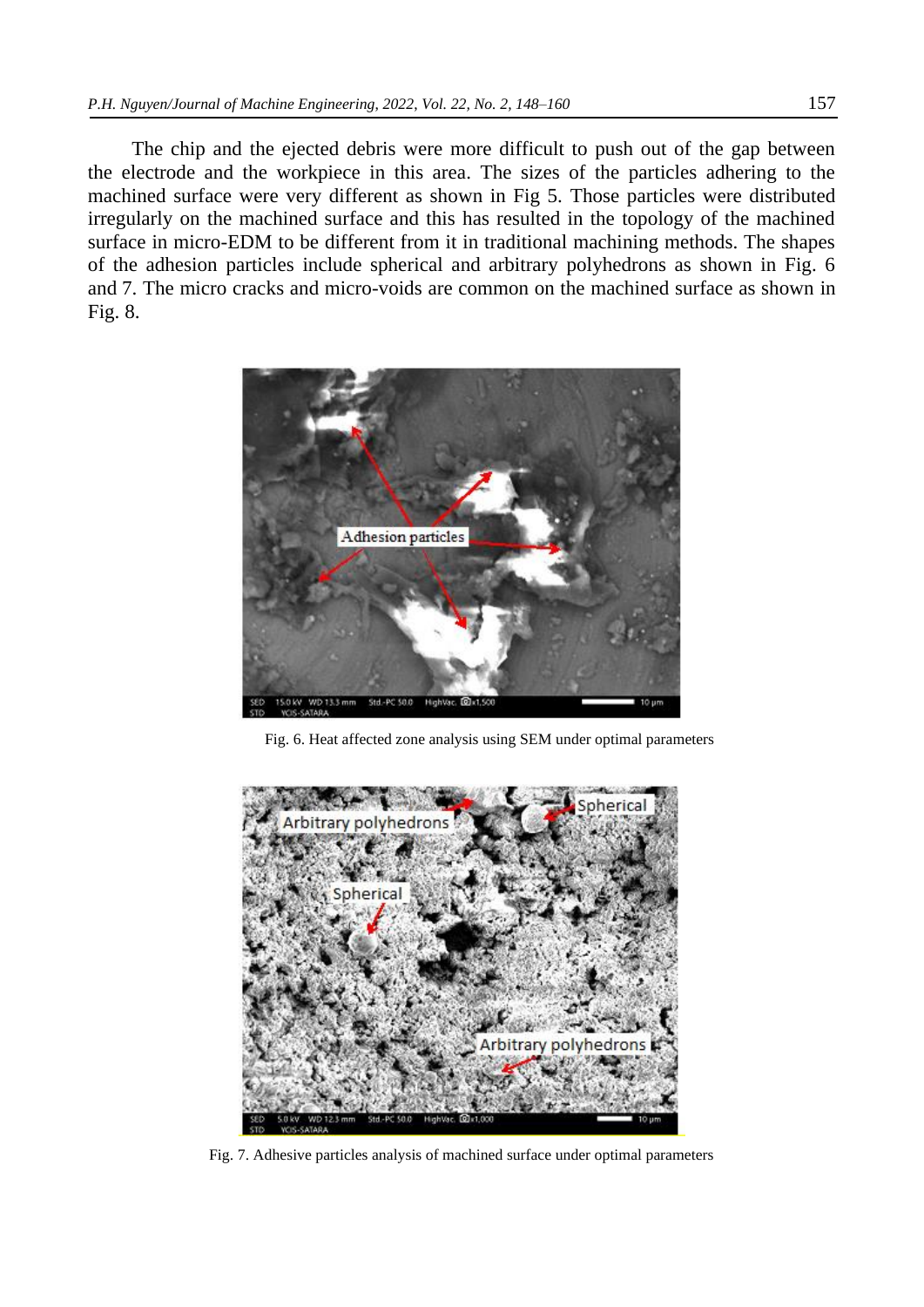The chip and the ejected debris were more difficult to push out of the gap between the electrode and the workpiece in this area. The sizes of the particles adhering to the machined surface were very different as shown in Fig 5. Those particles were distributed irregularly on the machined surface and this has resulted in the topology of the machined surface in micro-EDM to be different from it in traditional machining methods. The shapes of the adhesion particles include spherical and arbitrary polyhedrons as shown in Fig. 6 and 7. The micro cracks and micro-voids are common on the machined surface as shown in Fig. 8.



Fig. 6. Heat affected zone analysis using SEM under optimal parameters



Fig. 7. Adhesive particles analysis of machined surface under optimal parameters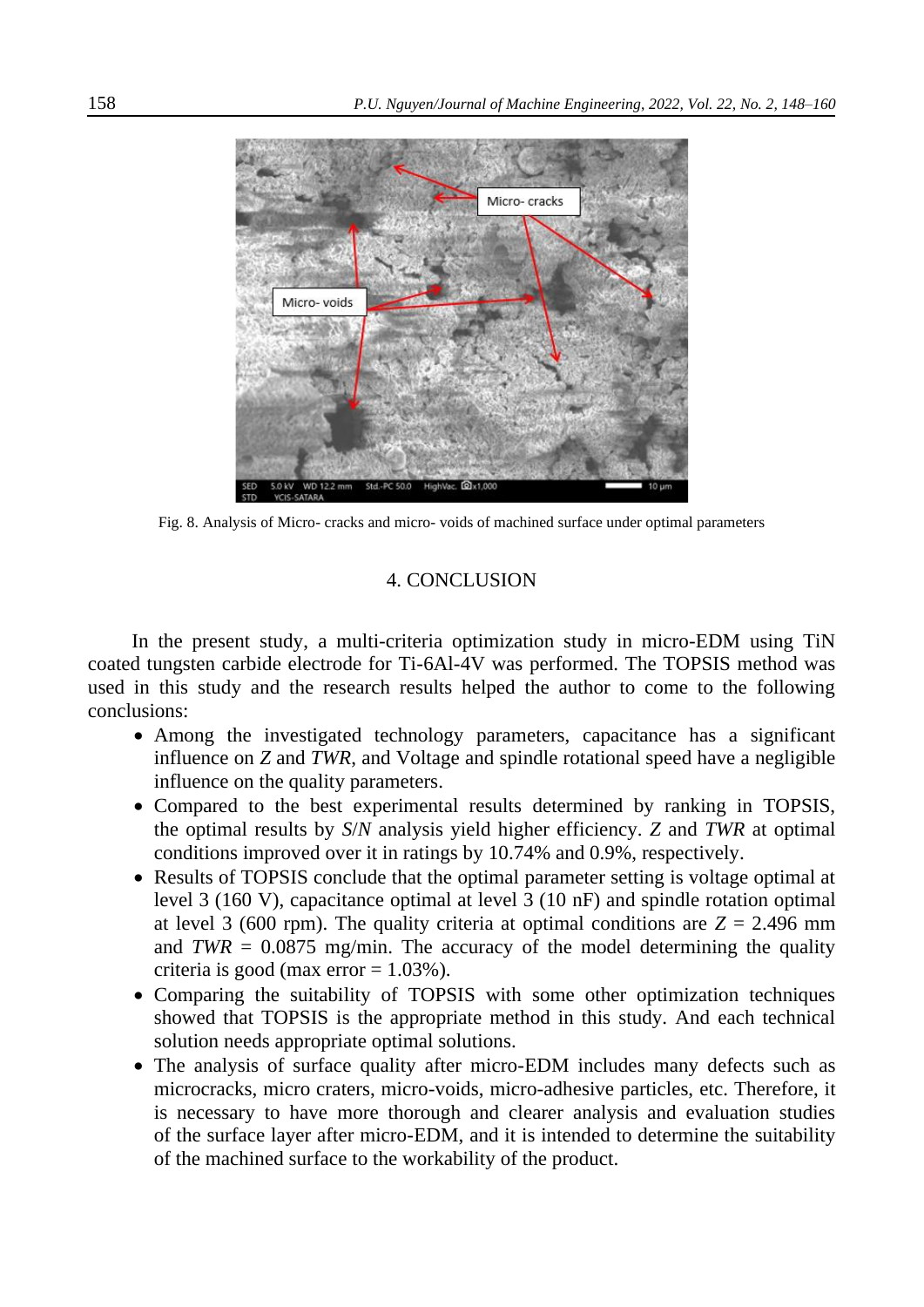

Fig. 8. Analysis of Micro- cracks and micro- voids of machined surface under optimal parameters

## 4. CONCLUSION

In the present study, a multi-criteria optimization study in micro-EDM using TiN coated tungsten carbide electrode for Ti-6Al-4V was performed. The TOPSIS method was used in this study and the research results helped the author to come to the following conclusions:

- Among the investigated technology parameters, capacitance has a significant influence on *Z* and *TWR*, and Voltage and spindle rotational speed have a negligible influence on the quality parameters.
- Compared to the best experimental results determined by ranking in TOPSIS, the optimal results by *S*/*N* analysis yield higher efficiency. *Z* and *TWR* at optimal conditions improved over it in ratings by 10.74% and 0.9%, respectively.
- Results of TOPSIS conclude that the optimal parameter setting is voltage optimal at level 3 (160 V), capacitance optimal at level 3 (10 nF) and spindle rotation optimal at level 3 (600 rpm). The quality criteria at optimal conditions are  $Z = 2.496$  mm and  $TWR = 0.0875$  mg/min. The accuracy of the model determining the quality criteria is good (max error  $= 1.03\%$ ).
- Comparing the suitability of TOPSIS with some other optimization techniques showed that TOPSIS is the appropriate method in this study. And each technical solution needs appropriate optimal solutions.
- The analysis of surface quality after micro-EDM includes many defects such as microcracks, micro craters, micro-voids, micro-adhesive particles, etc. Therefore, it is necessary to have more thorough and clearer analysis and evaluation studies of the surface layer after micro-EDM, and it is intended to determine the suitability of the machined surface to the workability of the product.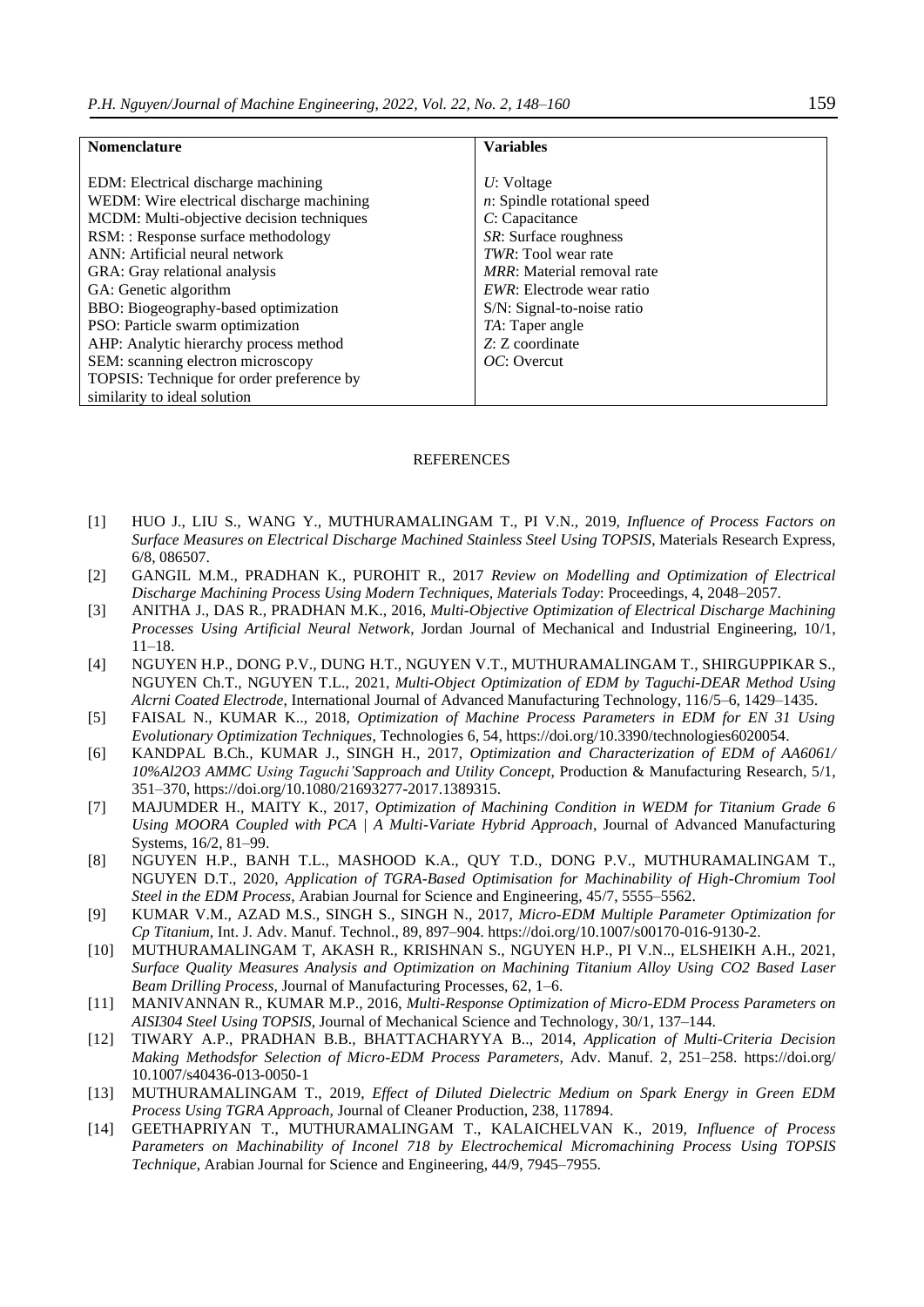| <b>Nomenclature</b>                       | <b>Variables</b>                   |  |  |
|-------------------------------------------|------------------------------------|--|--|
|                                           |                                    |  |  |
| EDM: Electrical discharge machining       | $U:$ Voltage                       |  |  |
| WEDM: Wire electrical discharge machining | $n$ : Spindle rotational speed     |  |  |
| MCDM: Multi-objective decision techniques | C: Capacitance                     |  |  |
| RSM: : Response surface methodology       | SR: Surface roughness              |  |  |
| ANN: Artificial neural network            | <i>TWR</i> : Tool wear rate        |  |  |
| GRA: Gray relational analysis             | <i>MRR</i> : Material removal rate |  |  |
| GA: Genetic algorithm                     | <i>EWR</i> : Electrode wear ratio  |  |  |
| BBO: Biogeography-based optimization      | S/N: Signal-to-noise ratio         |  |  |
| PSO: Particle swarm optimization          | TA: Taper angle                    |  |  |
| AHP: Analytic hierarchy process method    | Z: Z coordinate                    |  |  |
| SEM: scanning electron microscopy         | $OC:$ Overcut                      |  |  |
| TOPSIS: Technique for order preference by |                                    |  |  |
| similarity to ideal solution              |                                    |  |  |

#### **REFERENCES**

- [1] HUO J., LIU S., WANG Y., MUTHURAMALINGAM T., PI V.N., 2019, *Influence of Process Factors on Surface Measures on Electrical Discharge Machined Stainless Steel Using TOPSIS*, Materials Research Express, 6/8, 086507.
- [2] GANGIL M.M., PRADHAN K., PUROHIT R., 2017 *Review on Modelling and Optimization of Electrical Discharge Machining Process Using Modern Techniques, Materials Today*: Proceedings, 4, 2048–2057.
- [3] ANITHA J., DAS R., PRADHAN M.K., 2016, *Multi-Objective Optimization of Electrical Discharge Machining Processes Using Artificial Neural Network*, Jordan Journal of Mechanical and Industrial Engineering, 10/1, 11–18.
- [4] NGUYEN H.P., DONG P.V., DUNG H.T., NGUYEN V.T., MUTHURAMALINGAM T., SHIRGUPPIKAR S., NGUYEN Ch.T., NGUYEN T.L., 2021, *Multi-Object Optimization of EDM by Taguchi-DEAR Method Using Alcrni Coated Electrode*, International Journal of Advanced Manufacturing Technology, 116/5–6, 1429–1435.
- [5] FAISAL N., KUMAR K.., 2018, *Optimization of Machine Process Parameters in EDM for EN 31 Using Evolutionary Optimization Techniques*, Technologies 6, 54, https://doi.org/10.3390/technologies6020054.
- [6] KANDPAL B.Ch., KUMAR J., SINGH H., 2017, *Optimization and Characterization of EDM of AA6061/ 10%Al2O3 AMMC Using Taguchi'Sapproach and Utility Concept*, Production & Manufacturing Research, 5/1, 351–370, https://doi.org/10.1080/21693277**-**2017.1389315.
- [7] MAJUMDER H., MAITY K., 2017, *Optimization of Machining Condition in WEDM for Titanium Grade 6 Using MOORA Coupled with PCA | A Multi-Variate Hybrid Approach*, Journal of Advanced Manufacturing Systems, 16/2, 81–99.
- [8] NGUYEN H.P., BANH T.L., MASHOOD K.A., QUY T.D., DONG P.V., MUTHURAMALINGAM T., NGUYEN D.T., 2020, *Application of TGRA-Based Optimisation for Machinability of High-Chromium Tool Steel in the EDM Process*, Arabian Journal for Science and Engineering, 45/7, 5555–5562.
- [9] KUMAR V.M., AZAD M.S., SINGH S., SINGH N., 2017, *Micro-EDM Multiple Parameter Optimization for Cp Titanium,* Int. J. Adv. Manuf. Technol., 89, 897–904. https://doi.org/10.1007/s00170-016-9130-2.
- [10] MUTHURAMALINGAM T, AKASH R., KRISHNAN S., NGUYEN H.P., PI V.N.., ELSHEIKH A.H., 2021, *Surface Quality Measures Analysis and Optimization on Machining Titanium Alloy Using CO2 Based Laser Beam Drilling Process*, Journal of Manufacturing Processes, 62, 1–6.
- [11] MANIVANNAN R., KUMAR M.P., 2016, *Multi-Response Optimization of Micro-EDM Process Parameters on AISI304 Steel Using TOPSIS*, Journal of Mechanical Science and Technology, 30/1, 137–144.
- [12] TIWARY A.P., PRADHAN B.B., BHATTACHARYYA B.., 2014, *Application of Multi-Criteria Decision Making Methodsfor Selection of Micro-EDM Process Parameters*, Adv. Manuf. 2, 251–258.<https://doi.org/> 10.1007/s40436-013-0050-1
- [13] MUTHURAMALINGAM T., 2019, *Effect of Diluted Dielectric Medium on Spark Energy in Green EDM Process Using TGRA Approach*, Journal of Cleaner Production, 238, 117894.
- [14] GEETHAPRIYAN T., MUTHURAMALINGAM T., KALAICHELVAN K., 2019, *Influence of Process Parameters on Machinability of Inconel 718 by Electrochemical Micromachining Process Using TOPSIS Technique*, Arabian Journal for Science and Engineering, 44/9, 7945–7955.